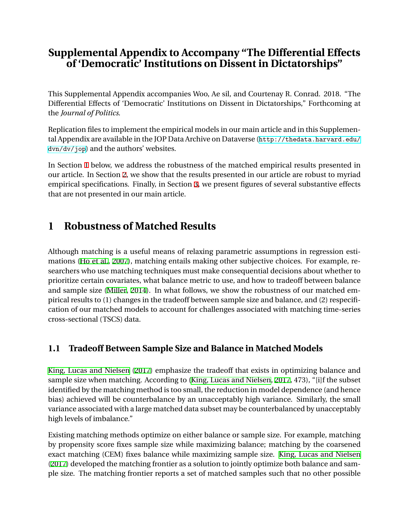### **Supplemental Appendix to Accompany "The Differential Effects of 'Democratic' Institutions on Dissent in Dictatorships"**

This Supplemental Appendix accompanies Woo, Ae sil, and Courtenay R. Conrad. 2018. "The Differential Effects of 'Democratic' Institutions on Dissent in Dictatorships," Forthcoming at the *Journal of Politics*.

Replication files to implement the empirical models in our main article and in this Supplemental Appendix are available in the JOP Data Archive on Dataverse ([http://thedata.harvard.edu/](http://thedata.harvard.edu/dvn/dv/jop) [dvn/dv/jop](http://thedata.harvard.edu/dvn/dv/jop)) and the authors' websites.

In Section [1](#page-0-0) below, we address the robustness of the matched empirical results presented in our article. In Section [2](#page-3-0), we show that the results presented in our article are robust to myriad empirical specifications. Finally, in Section [3,](#page-4-0) we present figures of several substantive effects that are not presented in our main article.

# <span id="page-0-0"></span>**1 Robustness of Matched Results**

Although matching is a useful means of relaxing parametric assumptions in regression estimations ([Ho et al.](#page-17-0), [2007\)](#page-17-0), matching entails making other subjective choices. For example, researchers who use matching techniques must make consequential decisions about whether to prioritize certain covariates, what balance metric to use, and how to tradeoff between balance and sample size ([Miller](#page-17-1), [2014](#page-17-1)). In what follows, we show the robustness of our matched empirical results to (1) changes in the tradeoff between sample size and balance, and (2) respecification of our matched models to account for challenges associated with matching time-series cross-sectional (TSCS) data.

### **1.1 Tradeoff Between Sample Size and Balance in Matched Models**

[King, Lucas and Nielsen](#page-17-2) ([2017\)](#page-17-2) emphasize the tradeoff that exists in optimizing balance and sample size when matching. According to [\(King, Lucas and Nielsen,](#page-17-2) [2017,](#page-17-2) 473), "[i]f the subset identified by the matching method is too small, the reduction in model dependence (and hence bias) achieved will be counterbalance by an unacceptably high variance. Similarly, the small variance associated with a large matched data subset may be counterbalanced by unacceptably high levels of imbalance."

Existing matching methods optimize on either balance or sample size. For example, matching by propensity score fixes sample size while maximizing balance; matching by the coarsened exact matching (CEM) fixes balance while maximizing sample size. [King, Lucas and Nielsen](#page-17-2) ([2017](#page-17-2)) developed the matching frontier as a solution to jointly optimize both balance and sample size. The matching frontier reports a set of matched samples such that no other possible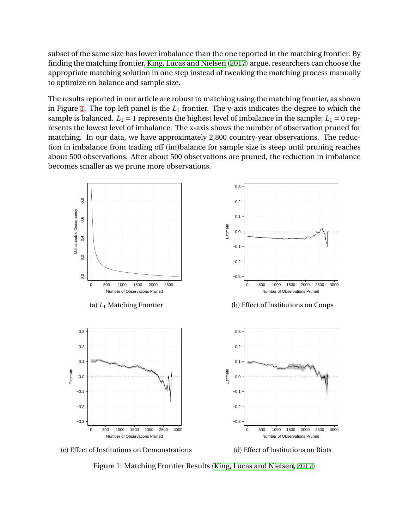subset of the same size has lower imbalance than the one reported in the matching frontier. By finding the matching frontier, [King, Lucas and Nielsen](#page-17-2) ([2017](#page-17-2)) argue, researchers can choose the appropriate matching solution in one step instead of tweaking the matching process manually to optimize on balance and sample size.

The results reported in our article are robust to matching using the matching frontier, as shown in Figure [1.](#page-1-0) The top left panel is the *L*<sup>1</sup> frontier. The y-axis indicates the degree to which the sample is balanced.  $L_1 = 1$  represents the highest level of imbalance in the sample;  $L_1 = 0$  represents the lowest level of imbalance. The x-axis shows the number of observation pruned for matching. In our data, we have approximately 2,800 country-year observations. The reduction in imbalance from trading off (im)balance for sample size is steep until pruning reaches about 500 observations. After about 500 observations are pruned, the reduction in imbalance becomes smaller as we prune more observations.

<span id="page-1-0"></span>



(d) Effect of Institutions on Riots

Figure 1: Matching Frontier Results ([King, Lucas and Nielsen,](#page-17-2) [2017](#page-17-2))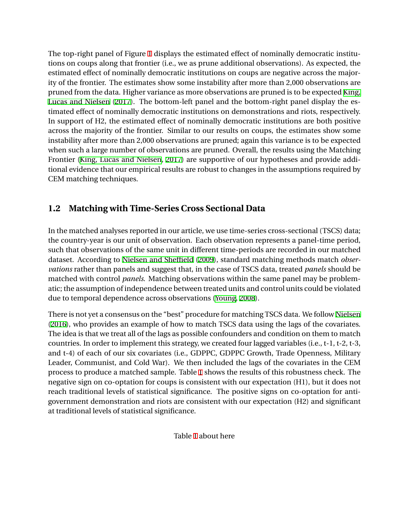The top-right panel of Figure [1](#page-1-0) displays the estimated effect of nominally democratic institutions on coups along that frontier (i.e., we as prune additional observations). As expected, the estimated effect of nominally democratic institutions on coups are negative across the majority of the frontier. The estimates show some instability after more than 2,000 observations are pruned from the data. Higher variance as more observations are pruned is to be expected [King,](#page-17-2) [Lucas and Nielsen](#page-17-2) [\(2017](#page-17-2)). The bottom-left panel and the bottom-right panel display the estimated effect of nominally democratic institutions on demonstrations and riots, respectively. In support of H2, the estimated effect of nominally democratic institutions are both positive across the majority of the frontier. Similar to our results on coups, the estimates show some instability after more than 2,000 observations are pruned; again this variance is to be expected when such a large number of observations are pruned. Overall, the results using the Matching Frontier ([King, Lucas and Nielsen,](#page-17-2) [2017\)](#page-17-2) are supportive of our hypotheses and provide additional evidence that our empirical results are robust to changes in the assumptions required by CEM matching techniques.

### **1.2 Matching with Time-Series Cross Sectional Data**

In the matched analyses reported in our article, we use time-series cross-sectional (TSCS) data; the country-year is our unit of observation. Each observation represents a panel-time period, such that observations of the same unit in different time-periods are recorded in our matched dataset. According to [Nielsen and Sheffield](#page-17-3) ([2009](#page-17-3)), standard matching methods match *observations* rather than panels and suggest that, in the case of TSCS data, treated *panels* should be matched with control *panels*. Matching observations within the same panel may be problematic; the assumption of independence between treated units and control units could be violated due to temporal dependence across observations [\(Young](#page-17-4), [2008\)](#page-17-4).

There is not yet a consensus on the "best" procedure for matching TSCS data. We follow [Nielsen](#page-17-5) ([2016](#page-17-5)), who provides an example of how to match TSCS data using the lags of the covariates. The idea is that we treat all of the lags as possible confounders and condition on them to match countries. In order to implement this strategy, we created four lagged variables (i.e., t-1, t-2, t-3, and t-4) of each of our six covariates (i.e., GDPPC, GDPPC Growth, Trade Openness, Military Leader, Communist, and Cold War). We then included the lags of the covariates in the CEM process to produce a matched sample. Table [1](#page-6-0) shows the results of this robustness check. The negative sign on co-optation for coups is consistent with our expectation (H1), but it does not reach traditional levels of statistical significance. The positive signs on co-optation for antigovernment demonstration and riots are consistent with our expectation (H2) and significant at traditional levels of statistical significance.

Table [1](#page-6-0) about here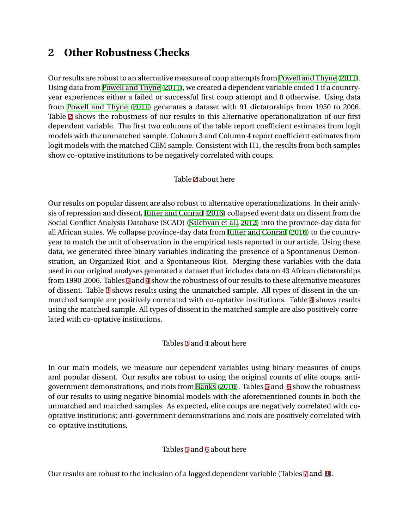## <span id="page-3-0"></span>**2 Other Robustness Checks**

Our results are robust to an alternative measure of coup attempts from [Powell and Thyne](#page-17-6) ([2011](#page-17-6)). Using data from [Powell and Thyne](#page-17-6) [\(2011\)](#page-17-6), we created a dependent variable coded 1 if a countryyear experiences either a failed or successful first coup attempt and 0 otherwise. Using data from [Powell and Thyne](#page-17-6) [\(2011\)](#page-17-6) generates a dataset with 91 dictatorships from 1950 to 2006. Table [2](#page-7-0) shows the robustness of our results to this alternative operationalization of our first dependent variable. The first two columns of the table report coefficient estimates from logit models with the unmatched sample. Column 3 and Column 4 report coefficient estimates from logit models with the matched CEM sample. Consistent with H1, the results from both samples show co-optative institutions to be negatively correlated with coups.

#### Table [2](#page-7-0) about here

Our results on popular dissent are also robust to alternative operationalizations. In their analysis of repression and dissent, [Ritter and Conrad](#page-17-7) ([2016](#page-17-7)) collapsed event data on dissent from the Social Conflict Analysis Database (SCAD) [\(Salehyan et al.](#page-17-8), [2012](#page-17-8)) into the province-day data for all African states. We collapse province-day data from [Ritter and Conrad](#page-17-7) ([2016](#page-17-7)) to the countryyear to match the unit of observation in the empirical tests reported in our article. Using these data, we generated three binary variables indicating the presence of a Spontaneous Demonstration, an Organized Riot, and a Spontaneous Riot. Merging these variables with the data used in our original analyses generated a dataset that includes data on 43 African dictatorships from 1990-2006. Tables [3](#page-8-0) and [4](#page-9-0) show the robustness of our results to these alternative measures of dissent. Table [3](#page-8-0) shows results using the unmatched sample. All types of dissent in the unmatched sample are positively correlated with co-optative institutions. Table [4](#page-9-0) shows results using the matched sample. All types of dissent in the matched sample are also positively correlated with co-optative institutions.

#### Tables [3](#page-8-0) and [4](#page-9-0) about here

In our main models, we measure our dependent variables using binary measures of coups and popular dissent. Our results are robust to using the original counts of elite coups, antigovernment demonstrations, and riots from [Banks](#page-17-9) ([2010\)](#page-17-9). Tables [5](#page-10-0) and [6](#page-11-0) show the robustness of our results to using negative binomial models with the aforementioned counts in both the unmatched and matched samples. As expected, elite coups are negatively correlated with cooptative institutions; anti-government demonstrations and riots are positively correlated with co-optative institutions.

#### Tables [5](#page-10-0) and [6](#page-11-0) about here

Our results are robust to the inclusion of a lagged dependent variable (Tables [7](#page-12-0) and [8](#page-13-0)).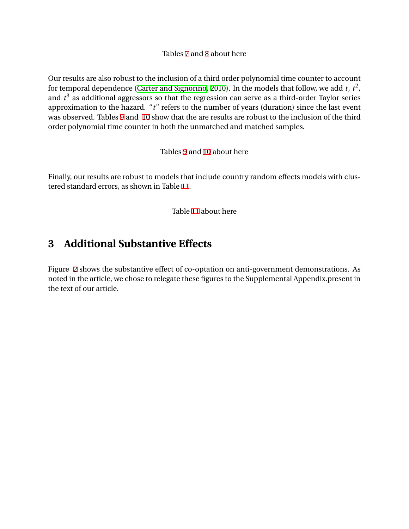Tables [7](#page-12-0) and [8](#page-13-0) about here

Our results are also robust to the inclusion of a third order polynomial time counter to account for temporal dependence [\(Carter and Signorino](#page-17-10), [2010](#page-17-10)). In the models that follow, we add  $t$ ,  $t^2$ , and  $t^3$  as additional aggressors so that the regression can serve as a third-order Taylor series approximation to the hazard. "*t*" refers to the number of years (duration) since the last event was observed. Tables [9](#page-14-0) and [10](#page-15-0) show that the are results are robust to the inclusion of the third order polynomial time counter in both the unmatched and matched samples.

Tables [9](#page-14-0) and [10](#page-15-0) about here

Finally, our results are robust to models that include country random effects models with clustered standard errors, as shown in Table [11](#page-16-0).

Table [11](#page-16-0) about here

## <span id="page-4-0"></span>**3 Additional Substantive Effects**

Figure [2](#page-5-0) shows the substantive effect of co-optation on anti-government demonstrations. As noted in the article, we chose to relegate these figures to the Supplemental Appendix.present in the text of our article.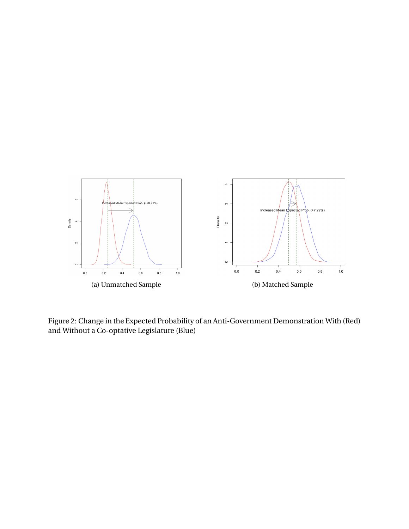<span id="page-5-0"></span>

Figure 2: Change in the Expected Probability of an Anti-Government Demonstration With (Red) and Without a Co-optative Legislature (Blue)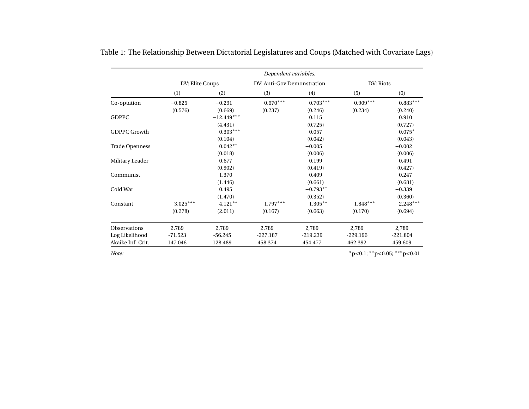|                       |                 |              | Dependent variables:       |            |             |             |
|-----------------------|-----------------|--------------|----------------------------|------------|-------------|-------------|
|                       | DV: Elite Coups |              | DV: Anti-Gov Demonstration |            | DV: Riots   |             |
|                       | (1)             | (2)          | (3)                        | (4)        | (5)         | (6)         |
| Co-optation           | $-0.825$        | $-0.291$     | $0.670***$                 | $0.703***$ | $0.909***$  | $0.883***$  |
|                       | (0.576)         | (0.669)      | (0.237)                    | (0.246)    | (0.234)     | (0.240)     |
| <b>GDPPC</b>          |                 | $-12.449***$ |                            | 0.115      |             | 0.910       |
|                       |                 | (4.431)      |                            | (0.725)    |             | (0.727)     |
| <b>GDPPC Growth</b>   |                 | $0.303***$   |                            | 0.057      |             | $0.075*$    |
|                       |                 | (0.104)      |                            | (0.042)    |             | (0.043)     |
| <b>Trade Openness</b> |                 | $0.042**$    |                            | $-0.005$   |             | $-0.002$    |
|                       |                 | (0.018)      |                            | (0.006)    |             | (0.006)     |
| Military Leader       |                 | $-0.677$     |                            | 0.199      |             | 0.491       |
|                       |                 | (0.902)      |                            | (0.419)    |             | (0.427)     |
| Communist             |                 | $-1.370$     |                            | 0.409      |             | 0.247       |
|                       |                 | (1.446)      |                            | (0.661)    |             | (0.681)     |
| Cold War              |                 | 0.495        |                            | $-0.793**$ |             | $-0.339$    |
|                       |                 | (1.470)      |                            | (0.352)    |             | (0.360)     |
| Constant              | $-3.025***$     | $-4.121**$   | $-1.797***$                | $-1.305**$ | $-1.848***$ | $-2.248***$ |
|                       | (0.278)         | (2.011)      | (0.167)                    | (0.663)    | (0.170)     | (0.694)     |
| Observations          | 2,789           | 2,789        | 2,789                      | 2,789      | 2,789       | 2,789       |
| Log Likelihood        | $-71.523$       | $-56.245$    | $-227.187$                 | $-219.239$ | $-229.196$  | $-221.804$  |
| Akaike Inf. Crit.     | 147.046         | 128.489      | 458.374                    | 454.477    | 462.392     | 459.609     |

Table 1: The Relationship Between Dictatorial Legislatures and Coups (Matched with Covariate Lags)

<span id="page-6-0"></span>*Note:*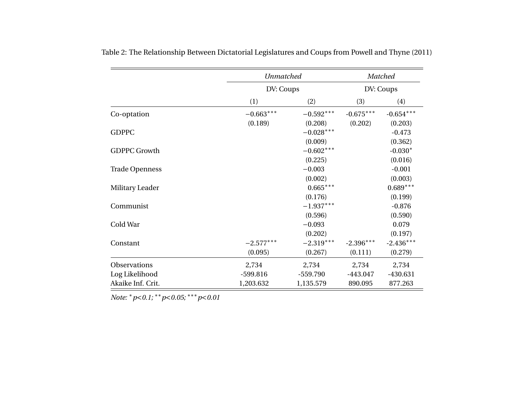<span id="page-7-0"></span>

|                       | <b>Unmatched</b> |             |             | Matched     |
|-----------------------|------------------|-------------|-------------|-------------|
|                       | DV: Coups        |             |             | DV: Coups   |
|                       | (1)              | (2)         | (3)         | (4)         |
| Co-optation           | $-0.663***$      | $-0.592***$ | $-0.675***$ | $-0.654***$ |
|                       | (0.189)          | (0.208)     | (0.202)     | (0.203)     |
| <b>GDPPC</b>          |                  | $-0.028***$ |             | $-0.473$    |
|                       |                  | (0.009)     |             | (0.362)     |
| <b>GDPPC Growth</b>   |                  | $-0.602***$ |             | $-0.030*$   |
|                       |                  | (0.225)     |             | (0.016)     |
| <b>Trade Openness</b> |                  | $-0.003$    |             | $-0.001$    |
|                       |                  | (0.002)     |             | (0.003)     |
| Military Leader       |                  | $0.665***$  |             | $0.689***$  |
|                       |                  | (0.176)     |             | (0.199)     |
| Communist             |                  | $-1.937***$ |             | $-0.876$    |
|                       |                  | (0.596)     |             | (0.590)     |
| Cold War              |                  | $-0.093$    |             | 0.079       |
|                       |                  | (0.202)     |             | (0.197)     |
| Constant              | $-2.577***$      | $-2.319***$ | $-2.396***$ | $-2.436***$ |
|                       | (0.095)          | (0.267)     | (0.111)     | (0.279)     |
| Observations          | 2,734            | 2,734       | 2,734       | 2,734       |
| Log Likelihood        | $-599.816$       | $-559.790$  | $-443.047$  | $-430.631$  |
| Akaike Inf. Crit.     | 1,203.632        | 1,135.579   | 890.095     | 877.263     |

Table 2: The Relationship Between Dictatorial Legislatures and Coups from Powell and Thyne (2011)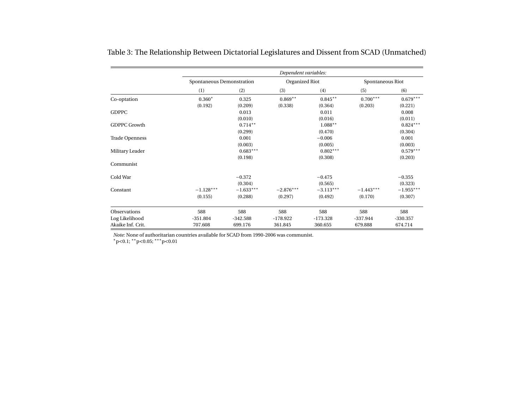|                       |                           |             | Dependent variables: |             |                  |             |
|-----------------------|---------------------------|-------------|----------------------|-------------|------------------|-------------|
|                       | Spontaneous Demonstration |             | Organized Riot       |             | Spontaneous Riot |             |
|                       | (1)                       | (2)         | (3)                  | (4)         | (5)              | (6)         |
| Co-optation           | $0.360*$                  | 0.325       | $0.869**$            | $0.845**$   | $0.700***$       | $0.679***$  |
|                       | (0.192)                   | (0.209)     | (0.338)              | (0.364)     | (0.203)          | (0.221)     |
| <b>GDPPC</b>          |                           | 0.013       |                      | 0.011       |                  | 0.008       |
|                       |                           | (0.010)     |                      | (0.016)     |                  | (0.011)     |
| <b>GDPPC Growth</b>   |                           | $0.714***$  |                      | $1.088**$   |                  | $0.824***$  |
|                       |                           | (0.299)     |                      | (0.470)     |                  | (0.304)     |
| <b>Trade Openness</b> |                           | 0.001       |                      | $-0.006$    |                  | 0.001       |
|                       |                           | (0.003)     |                      | (0.005)     |                  | (0.003)     |
| Military Leader       |                           | $0.683***$  |                      | $0.802***$  |                  | $0.579***$  |
|                       |                           | (0.198)     |                      | (0.308)     |                  | (0.203)     |
| Communist             |                           |             |                      |             |                  |             |
| Cold War              |                           | $-0.372$    |                      | $-0.475$    |                  | $-0.355$    |
|                       |                           | (0.304)     |                      | (0.565)     |                  | (0.323)     |
| Constant              | $-1.128***$               | $-1.633***$ | $-2.876***$          | $-3.113***$ | $-1.443***$      | $-1.955***$ |
|                       | (0.155)                   | (0.288)     | (0.297)              | (0.492)     | (0.170)          | (0.307)     |
| <b>Observations</b>   | 588                       | 588         | 588                  | 588         | 588              | 588         |
| Log Likelihood        | $-351.804$                | $-342.588$  | $-178.922$           | $-173.328$  | $-337.944$       | $-330.357$  |
| Akaike Inf. Crit.     | 707.608                   | 699.176     | 361.845              | 360.655     | 679.888          | 674.714     |

Table 3: The Relationship Between Dictatorial Legislatures and Dissent from SCAD (Unmatched)

<span id="page-8-0"></span>*Note:* None of authoritarian countries available for SCAD from 1990-2006 was communist.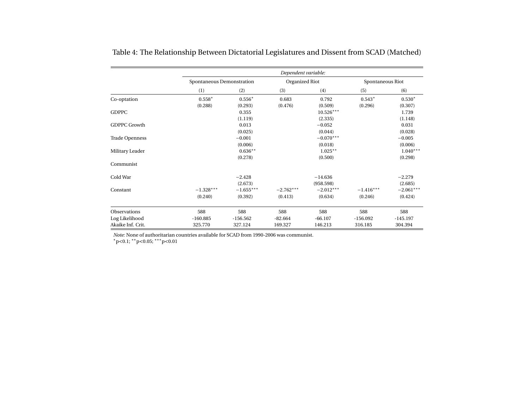|                       |                           |             | Dependent variable: |             |                  |             |
|-----------------------|---------------------------|-------------|---------------------|-------------|------------------|-------------|
|                       | Spontaneous Demonstration |             | Organized Riot      |             | Spontaneous Riot |             |
|                       | (1)                       | (2)         | (3)                 | (4)         | (5)              | (6)         |
| Co-optation           | $0.558*$                  | $0.556*$    | 0.683               | 0.792       | $0.543*$         | $0.530*$    |
|                       | (0.288)                   | (0.293)     | (0.476)             | (0.509)     | (0.296)          | (0.307)     |
| <b>GDPPC</b>          |                           | 0.355       |                     | $10.526***$ |                  | 1.739       |
|                       |                           | (1.119)     |                     | (2.335)     |                  | (1.148)     |
| <b>GDPPC Growth</b>   |                           | 0.013       |                     | $-0.052$    |                  | 0.031       |
|                       |                           | (0.025)     |                     | (0.044)     |                  | (0.028)     |
| <b>Trade Openness</b> |                           | $-0.001$    |                     | $-0.070***$ |                  | $-0.005$    |
|                       |                           | (0.006)     |                     | (0.018)     |                  | (0.006)     |
| Military Leader       |                           | $0.636**$   |                     | $1.025***$  |                  | $1.040***$  |
|                       |                           | (0.278)     |                     | (0.500)     |                  | (0.298)     |
| Communist             |                           |             |                     |             |                  |             |
| Cold War              |                           | $-2.428$    |                     | $-14.636$   |                  | $-2.279$    |
|                       |                           | (2.673)     |                     | (958.598)   |                  | (2.685)     |
| Constant              | $-1.328***$               | $-1.655***$ | $-2.762***$         | $-2.012***$ | $-1.416***$      | $-2.061***$ |
|                       | (0.240)                   | (0.392)     | (0.413)             | (0.634)     | (0.246)          | (0.424)     |
| <b>Observations</b>   | 588                       | 588         | 588                 | 588         | 588              | 588         |
| Log Likelihood        | $-160.885$                | $-156.562$  | $-82.664$           | $-66.107$   | $-156.092$       | $-145.197$  |
| Akaike Inf. Crit.     | 325.770                   | 327.124     | 169.327             | 146.213     | 316.185          | 304.394     |

Table 4: The Relationship Between Dictatorial Legislatures and Dissent from SCAD (Matched)

<span id="page-9-0"></span>*Note:* None of authoritarian countries available for SCAD from 1990-2006 was communist.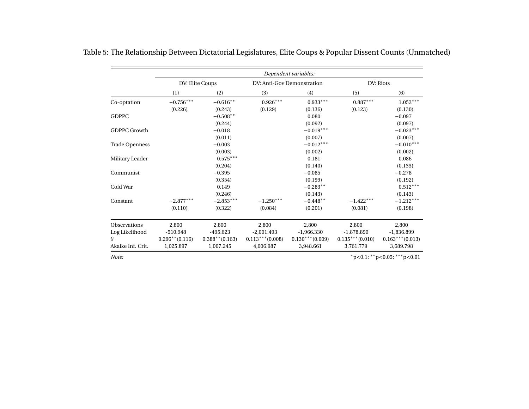|                       | Dependent variables: |                   |                   |                            |                   |                   |  |
|-----------------------|----------------------|-------------------|-------------------|----------------------------|-------------------|-------------------|--|
|                       |                      | DV: Elite Coups   |                   | DV: Anti-Gov Demonstration |                   | DV: Riots         |  |
|                       | (1)                  | (2)               | (3)               | (4)                        | (5)               | (6)               |  |
| Co-optation           | $-0.756***$          | $-0.616**$        | $0.926***$        | $0.933***$                 | $0.887***$        | $1.052***$        |  |
|                       | (0.226)              | (0.243)           | (0.129)           | (0.136)                    | (0.123)           | (0.130)           |  |
| <b>GDPPC</b>          |                      | $-0.508**$        |                   | 0.080                      |                   | $-0.097$          |  |
|                       |                      | (0.244)           |                   | (0.092)                    |                   | (0.097)           |  |
| <b>GDPPC Growth</b>   |                      | $-0.018$          |                   | $-0.019***$                |                   | $-0.023***$       |  |
|                       |                      | (0.011)           |                   | (0.007)                    |                   | (0.007)           |  |
| <b>Trade Openness</b> |                      | $-0.003$          |                   | $-0.012***$                |                   | $-0.010***$       |  |
|                       |                      | (0.003)           |                   | (0.002)                    |                   | (0.002)           |  |
| Military Leader       |                      | $0.575***$        |                   | 0.181                      |                   | 0.086             |  |
|                       |                      | (0.204)           |                   | (0.140)                    |                   | (0.133)           |  |
| Communist             |                      | $-0.395$          |                   | $-0.085$                   |                   | $-0.278$          |  |
|                       |                      | (0.354)           |                   | (0.199)                    |                   | (0.192)           |  |
| Cold War              |                      | 0.149             |                   | $-0.283**$                 |                   | $0.512***$        |  |
|                       |                      | (0.246)           |                   | (0.143)                    |                   | (0.143)           |  |
| Constant              | $-2.877***$          | $-2.853***$       | $-1.250***$       | $-0.448**$                 | $-1.422***$       | $-1.212***$       |  |
|                       | (0.110)              | (0.322)           | (0.084)           | (0.201)                    | (0.081)           | (0.198)           |  |
| <b>Observations</b>   | 2,800                | 2,800             | 2,800             | 2,800                      | 2,800             | 2,800             |  |
| Log Likelihood        | $-510.948$           | $-495.623$        | $-2,001.493$      | $-1,966.330$               | $-1,878.890$      | $-1,836.899$      |  |
| θ                     | $0.296**$ (0.116)    | $0.388**$ (0.163) | $0.113***(0.008)$ | $0.130***(0.009)$          | $0.135***(0.010)$ | $0.163***(0.013)$ |  |
| Akaike Inf. Crit.     | 1,025.897            | 1,007.245         | 4,006.987         | 3,948.661                  | 3,761.779         | 3,689.798         |  |

Table 5: The Relationship Between Dictatorial Legislatures, Elite Coups & Popular Dissent Counts (Unmatched)

<span id="page-10-0"></span>*Note:*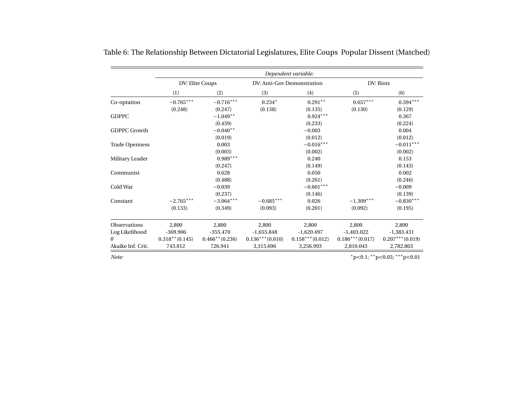|                       | Dependent variable: |                   |                   |                            |                   |                   |  |
|-----------------------|---------------------|-------------------|-------------------|----------------------------|-------------------|-------------------|--|
|                       |                     | DV: Elite Coups   |                   | DV: Anti-Gov Demonstration |                   | DV: Riots         |  |
|                       | (1)                 | (2)               | (3)               | (4)                        | (5)               | (6)               |  |
| Co-optation           | $-0.765***$         | $-0.716***$       | $0.234*$          | $0.291**$                  | $0.657***$        | $0.594***$        |  |
|                       | (0.248)             | (0.247)           | (0.138)           | (0.135)                    | (0.130)           | (0.129)           |  |
| <b>GDPPC</b>          |                     | $-1.049**$        |                   | $0.924***$                 |                   | 0.367             |  |
|                       |                     | (0.459)           |                   | (0.233)                    |                   | (0.224)           |  |
| <b>GDPPC Growth</b>   |                     | $-0.040**$        |                   | $-0.003$                   |                   | 0.004             |  |
|                       |                     | (0.019)           |                   | (0.012)                    |                   | (0.012)           |  |
| <b>Trade Openness</b> |                     | 0.003             |                   | $-0.016***$                |                   | $-0.011***$       |  |
|                       |                     | (0.003)           |                   | (0.002)                    |                   | (0.002)           |  |
| Military Leader       |                     | $0.989***$        |                   | 0.240                      |                   | 0.153             |  |
|                       |                     | (0.247)           |                   | (0.149)                    |                   | (0.143)           |  |
| Communist             |                     | 0.628             |                   | 0.050                      |                   | 0.002             |  |
|                       |                     | (0.488)           |                   | (0.261)                    |                   | (0.246)           |  |
| Cold War              |                     | $-0.039$          |                   | $-0.601***$                |                   | $-0.009$          |  |
|                       |                     | (0.237)           |                   | (0.146)                    |                   | (0.139)           |  |
| Constant              | $-2.765***$         | $-3.064***$       | $-0.685***$       | 0.026                      | $-1.309***$       | $-0.830***$       |  |
|                       | (0.133)             | (0.349)           | (0.093)           | (0.201)                    | (0.092)           | (0.195)           |  |
| Observations          | 2,800               | 2,800             | 2,800             | 2,800                      | 2,800             | 2,800             |  |
| Log Likelihood        | $-369.906$          | $-355.470$        | $-1,655.848$      | $-1,620.497$               | $-1,403.022$      | $-1,383.431$      |  |
| $\theta$              | $0.318**$ (0.145)   | $0.466**$ (0.236) | $0.136***(0.010)$ | $0.158***(0.012)$          | $0.186***(0.017)$ | $0.207***(0.019)$ |  |
| Akaike Inf. Crit.     | 743.812             | 726.941           | 3,315.696         | 3,256.993                  | 2,810.043         | 2,782.863         |  |

Table 6: The Relationship Between Dictatorial Legislatures, Elite Coups Popular Dissent (Matched)

<span id="page-11-0"></span>*Note:*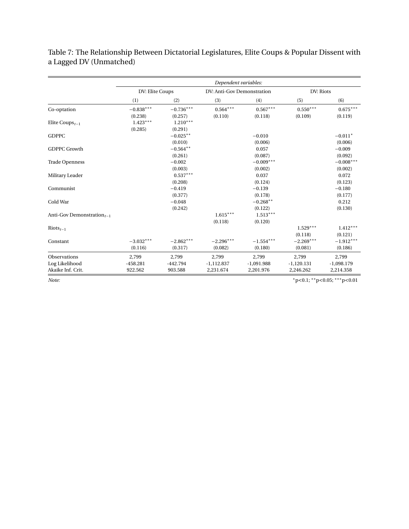|                                         |                 |             | Dependent variables:       |              |              |                                           |
|-----------------------------------------|-----------------|-------------|----------------------------|--------------|--------------|-------------------------------------------|
|                                         | DV: Elite Coups |             | DV: Anti-Gov Demonstration |              | DV: Riots    |                                           |
|                                         | (1)             | (2)         | (3)                        | (4)          | (5)          | (6)                                       |
| Co-optation                             | $-0.838***$     | $-0.736***$ | $0.564***$                 | $0.567***$   | $0.550***$   | $0.675***$                                |
|                                         | (0.238)         | (0.257)     | (0.110)                    | (0.118)      | (0.109)      | (0.119)                                   |
| Elite Coups <sub><math>t-1</math></sub> | $1.423***$      | $1.210***$  |                            |              |              |                                           |
|                                         | (0.285)         | (0.291)     |                            |              |              |                                           |
| <b>GDPPC</b>                            |                 | $-0.025**$  |                            | $-0.010$     |              | $-0.011*$                                 |
|                                         |                 | (0.010)     |                            | (0.006)      |              | (0.006)                                   |
| <b>GDPPC Growth</b>                     |                 | $-0.564**$  |                            | 0.057        |              | $-0.009$                                  |
|                                         |                 | (0.261)     |                            | (0.087)      |              | (0.092)                                   |
| <b>Trade Openness</b>                   |                 | $-0.002$    |                            | $-0.009***$  |              | $-0.008***$                               |
|                                         |                 | (0.003)     |                            | (0.002)      |              | (0.002)                                   |
| Military Leader                         |                 | $0.537***$  |                            | 0.037        |              | 0.072                                     |
|                                         |                 | (0.208)     |                            | (0.124)      |              | (0.123)                                   |
| Communist                               |                 | $-0.419$    |                            | $-0.139$     |              | $-0.180$                                  |
|                                         |                 | (0.377)     |                            | (0.178)      |              | (0.177)                                   |
| Cold War                                |                 | $-0.048$    |                            | $-0.268**$   |              | 0.212                                     |
|                                         |                 | (0.242)     |                            | (0.122)      |              | (0.130)                                   |
| Anti-Gov Demonstration $_{t-1}$         |                 |             | $1.615***$                 | $1.513***$   |              |                                           |
|                                         |                 |             | (0.118)                    | (0.120)      |              |                                           |
| $\text{Riots}_{t-1}$                    |                 |             |                            |              | $1.529***$   | $1.412***$                                |
|                                         |                 |             |                            |              | (0.118)      | (0.121)                                   |
| Constant                                | $-3.032***$     | $-2.862***$ | $-2.296***$                | $-1.554***$  | $-2.269***$  | $-1.912***$                               |
|                                         | (0.116)         | (0.317)     | (0.082)                    | (0.180)      | (0.081)      | (0.186)                                   |
| Observations                            | 2,799           | 2,799       | 2,799                      | 2,799        | 2,799        | 2.799                                     |
| Log Likelihood                          | $-458.281$      | $-442.794$  | $-1,112.837$               | $-1,091.988$ | $-1,120.131$ | $-1,098.179$                              |
| Akaike Inf. Crit.                       | 922.562         | 903.588     | 2,231.674                  | 2,201.976    | 2,246.262    | 2,214.358                                 |
| Note:                                   |                 |             |                            |              |              | $*_{p<0.1}$ ; $*_{p<0.05}$ ; $*_{p<0.01}$ |

<span id="page-12-0"></span>Table 7: The Relationship Between Dictatorial Legislatures, Elite Coups & Popular Dissent with a Lagged DV (Unmatched)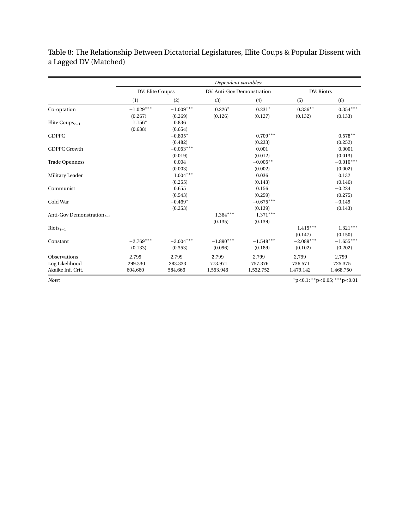<span id="page-13-0"></span>Table 8: The Relationship Between Dictatorial Legislatures, Elite Coups & Popular Dissent with a Lagged DV (Matched)

|                                         |                  |             | Dependent variables:       |             |             |                                           |
|-----------------------------------------|------------------|-------------|----------------------------|-------------|-------------|-------------------------------------------|
|                                         | DV: Elite Coupss |             | DV: Anti-Gov Demonstration |             | DV: Riotrs  |                                           |
|                                         | (1)              | (2)         | (3)                        | (4)         | (5)         | (6)                                       |
| Co-optation                             | $-1.029***$      | $-1.009***$ | $0.226*$                   | $0.231*$    | $0.336**$   | $0.354***$                                |
|                                         | (0.267)          | (0.269)     | (0.126)                    | (0.127)     | (0.132)     | (0.133)                                   |
| Elite Coups <sub><math>t-1</math></sub> | $1.156*$         | 0.836       |                            |             |             |                                           |
|                                         | (0.638)          | (0.654)     |                            |             |             |                                           |
| <b>GDPPC</b>                            |                  | $-0.805*$   |                            | $0.709***$  |             | $0.578**$                                 |
|                                         |                  | (0.482)     |                            | (0.233)     |             | (0.252)                                   |
| <b>GDPPC Growth</b>                     |                  | $-0.053***$ |                            | 0.001       |             | 0.0001                                    |
|                                         |                  | (0.019)     |                            | (0.012)     |             | (0.013)                                   |
| <b>Trade Openness</b>                   |                  | 0.004       |                            | $-0.005**$  |             | $-0.010***$                               |
|                                         |                  | (0.003)     |                            | (0.002)     |             | (0.002)                                   |
| Military Leader                         |                  | $1.004***$  |                            | 0.036       |             | 0.132                                     |
|                                         |                  | (0.255)     |                            | (0.143)     |             | (0.146)                                   |
| Communist                               |                  | 0.655       |                            | 0.156       |             | $-0.224$                                  |
|                                         |                  | (0.543)     |                            | (0.259)     |             | (0.275)                                   |
| Cold War                                |                  | $-0.469*$   |                            | $-0.675***$ |             | $-0.149$                                  |
|                                         |                  | (0.253)     |                            | (0.139)     |             | (0.143)                                   |
| Anti-Gov Demonstration $_{t-1}$         |                  |             | $1.364***$                 | $1.371***$  |             |                                           |
|                                         |                  |             | (0.135)                    | (0.139)     |             |                                           |
| $\text{Riots}_{t-1}$                    |                  |             |                            |             | $1.415***$  | $1.321***$                                |
|                                         |                  |             |                            |             | (0.147)     | (0.150)                                   |
| Constant                                | $-2.769***$      | $-3.004***$ | $-1.890***$                | $-1.548***$ | $-2.089***$ | $-1.655***$                               |
|                                         | (0.133)          | (0.353)     | (0.096)                    | (0.189)     | (0.102)     | (0.202)                                   |
| Observations                            | 2,799            | 2,799       | 2,799                      | 2,799       | 2,799       | 2,799                                     |
| Log Likelihood                          | $-299.330$       | $-283.333$  | $-773.971$                 | $-757.376$  | $-736.571$  | $-725.375$                                |
| Akaike Inf. Crit.                       | 604.660          | 584.666     | 1,553.943                  | 1,532.752   | 1,479.142   | 1,468.750                                 |
| Note:                                   |                  |             |                            |             |             | $*_{p<0.1}$ ; $*_{p<0.05}$ ; $*_{p<0.01}$ |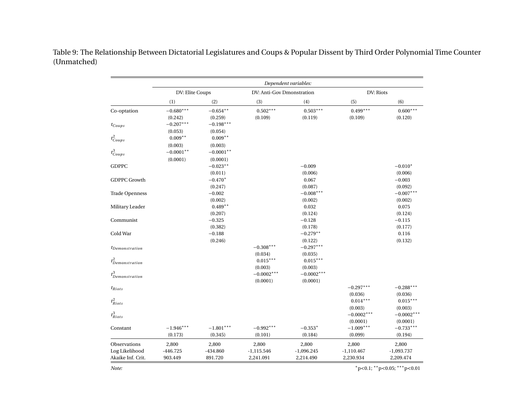<span id="page-14-0"></span>

|                        |                 |             |                           | Dependent variables: |              |              |
|------------------------|-----------------|-------------|---------------------------|----------------------|--------------|--------------|
|                        | DV: Elite Coups |             | DV: Anti-Gov Dmonstration |                      | DV: Riots    |              |
|                        | (1)             | (2)         | (3)                       | (4)                  | (5)          | (6)          |
| Co-optation            | $-0.680***$     | $-0.654***$ | $0.502***$                | $0.503***$           | $0.499***$   | $0.600***$   |
|                        | (0.242)         | (0.259)     | (0.109)                   | (0.119)              | (0.109)      | (0.120)      |
| $t_{Coups}$            | $-0.207***$     | $-0.198***$ |                           |                      |              |              |
|                        | (0.053)         | (0.054)     |                           |                      |              |              |
| $t_{Coups}^2$          | $0.009**$       | $0.009**$   |                           |                      |              |              |
|                        | (0.003)         | (0.003)     |                           |                      |              |              |
| $t_{Coups}^3$          | $-0.0001**$     | $-0.0001**$ |                           |                      |              |              |
|                        | (0.0001)        | (0.0001)    |                           |                      |              |              |
| <b>GDPPC</b>           |                 | $-0.023**$  |                           | $-0.009$             |              | $-0.010*$    |
|                        |                 | (0.011)     |                           | (0.006)              |              | (0.006)      |
| <b>GDPPC Growth</b>    |                 | $-0.470*$   |                           | 0.067                |              | $-0.003$     |
|                        |                 | (0.247)     |                           | (0.087)              |              | (0.092)      |
| <b>Trade Openness</b>  |                 | $-0.002$    |                           | $-0.008***$          |              | $-0.007***$  |
|                        |                 | (0.002)     |                           | (0.002)              |              | (0.002)      |
| Military Leader        |                 | $0.489**$   |                           | 0.032                |              | 0.075        |
|                        |                 | (0.207)     |                           | (0.124)              |              | (0.124)      |
| Communist              |                 | $-0.325$    |                           | $-0.128$             |              | $-0.115$     |
|                        |                 | (0.382)     |                           | (0.178)              |              | (0.177)      |
| Cold War               |                 | $-0.188$    |                           | $-0.279**$           |              | 0.116        |
|                        |                 | (0.246)     |                           | (0.122)              |              | (0.132)      |
| <i>t</i> Demonstration |                 |             | $-0.308***$               | $-0.297***$          |              |              |
|                        |                 |             | (0.034)                   | (0.035)              |              |              |
| $t^2_{Demonstration}$  |                 |             | $0.015***$                | $0.015***$           |              |              |
|                        |                 |             | (0.003)                   | (0.003)              |              |              |
| $t^3_{Demonstration}$  |                 |             | $-0.0002***$              | $-0.0002***$         |              |              |
|                        |                 |             | (0.0001)                  | (0.0001)             |              |              |
| $t_{Riots}$            |                 |             |                           |                      | $-0.297***$  | $-0.288***$  |
|                        |                 |             |                           |                      | (0.036)      | (0.036)      |
| $t^2_{Riots}$          |                 |             |                           |                      | $0.014***$   | $0.015***$   |
|                        |                 |             |                           |                      | (0.003)      | (0.003)      |
| $t^3_{Riots}$          |                 |             |                           |                      | $-0.0002***$ | $-0.0002***$ |
|                        |                 |             |                           |                      | (0.0001)     | (0.0001)     |
| Constant               | $-1.946***$     | $-1.801***$ | $-0.992***$               | $-0.353*$            | $-1.009***$  | $-0.733***$  |
|                        | (0.173)         | (0.345)     | (0.101)                   | (0.184)              | (0.099)      | (0.194)      |
| Observations           | 2,800           | 2,800       | 2,800                     | 2,800                | 2,800        | 2,800        |
| Log Likelihood         | $-446.725$      | $-434.860$  | $-1,115.546$              | $-1,096.245$         | $-1,110.467$ | $-1,093.737$ |
| Akaike Inf. Crit.      | 903.449         | 891.720     | 2,241.091                 | 2,214.490            | 2,230.934    | 2,209.474    |

Table 9: The Relationship Between Dictatorial Legislatures and Coups & Popular Dissent by Third Order Polynomial Time Counter(Unmatched)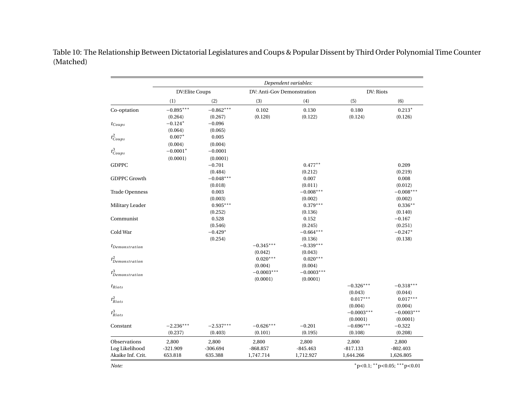Table 10: The Relationship Between Dictatorial Legislatures and Coups & Popular Dissent by Third Order Polynomial Time Counter(Matched)

<span id="page-15-0"></span>

|                                                     |                                |                                |                                  | Dependent variables:             |                                    |                                  |
|-----------------------------------------------------|--------------------------------|--------------------------------|----------------------------------|----------------------------------|------------------------------------|----------------------------------|
|                                                     | DV:Elite Coups                 |                                | DV: Anti-Gov Demonstration       |                                  | DV: Riots                          |                                  |
|                                                     | (1)                            | (2)                            | (3)                              | (4)                              | (5)                                | (6)                              |
| Co-optation                                         | $-0.895***$<br>(0.264)         | $-0.862***$<br>(0.267)         | 0.102<br>(0.120)                 | 0.130<br>(0.122)                 | $0.180\,$<br>(0.124)               | $0.213*$<br>(0.126)              |
| $t_{Coups}$                                         | $-0.124*$<br>(0.064)           | $-0.096$<br>(0.065)            |                                  |                                  |                                    |                                  |
| $t_{Coups}^2$                                       | $0.007*$<br>(0.004)            | 0.005<br>(0.004)               |                                  |                                  |                                    |                                  |
| $t_{Coups}^3$                                       | $-0.0001*$<br>(0.0001)         | $-0.0001$<br>(0.0001)          |                                  |                                  |                                    |                                  |
| <b>GDPPC</b>                                        |                                | $-0.701$<br>(0.484)            |                                  | $0.477**$<br>(0.212)             |                                    | 0.209<br>(0.219)                 |
| <b>GDPPC Growth</b>                                 |                                | $-0.048***$<br>(0.018)         |                                  | 0.007<br>(0.011)                 |                                    | 0.008<br>(0.012)                 |
| <b>Trade Openness</b>                               |                                | 0.003<br>(0.003)               |                                  | $-0.008***$<br>(0.002)           |                                    | $-0.008***$<br>(0.002)           |
| Military Leader                                     |                                | $0.905***$<br>(0.252)          |                                  | $0.379***$<br>(0.136)            |                                    | $0.336**$<br>(0.140)             |
| Communist<br>Cold War                               |                                | 0.528<br>(0.546)<br>$-0.429*$  |                                  | 0.152<br>(0.245)<br>$-0.664***$  |                                    | $-0.167$<br>(0.251)<br>$-0.247*$ |
|                                                     |                                | (0.254)                        | $-0.345***$                      | (0.136)<br>$-0.339***$           |                                    | (0.138)                          |
| <i>t</i> Demonstration                              |                                |                                | (0.042)<br>$0.020***$            | (0.043)<br>$0.020***$            |                                    |                                  |
| $t^2_{Demonstration}$<br>$t^3_{Demonstration}$      |                                |                                | (0.004)<br>$-0.0003***$          | (0.004)<br>$-0.0003***$          |                                    |                                  |
| $t_{Riots}$                                         |                                |                                | (0.0001)                         | (0.0001)                         | $-0.326***$                        | $-0.318***$                      |
| $t^2_{Riots}$                                       |                                |                                |                                  |                                  | (0.043)<br>$0.017***$              | (0.044)<br>$0.017***$            |
| $t_{Riots}^3$                                       |                                |                                |                                  |                                  | (0.004)<br>$-0.0003***$            | (0.004)<br>$-0.0003***$          |
| Constant                                            | $-2.236***$<br>(0.237)         | $-2.537***$<br>(0.403)         | $-0.626***$<br>(0.101)           | $-0.201$<br>(0.195)              | (0.0001)<br>$-0.696***$<br>(0.108) | (0.0001)<br>$-0.322$<br>(0.208)  |
| Observations<br>Log Likelihood<br>Akaike Inf. Crit. | 2,800<br>$-321.909$<br>653.818 | 2,800<br>$-306.694$<br>635.388 | 2,800<br>$-868.857$<br>1,747.714 | 2,800<br>$-845.463$<br>1,712.927 | 2,800<br>$-817.133$<br>1,644.266   | 2,800<br>$-802.403$<br>1,626.805 |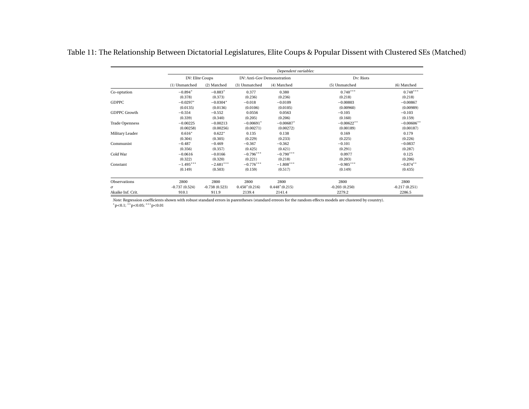| Table 11: The Relationship Between Dictatorial Legislatures, Elite Coups & Popular Dissent with Clustered SEs (Matched) |  |  |
|-------------------------------------------------------------------------------------------------------------------------|--|--|
|                                                                                                                         |  |  |

|                       |                 |                 |                            | Dependent variables: |                 |                 |
|-----------------------|-----------------|-----------------|----------------------------|----------------------|-----------------|-----------------|
|                       | DV: Elite Coups |                 | DV: Anti-Gov Demonstration |                      | Dv: Riots       |                 |
|                       | (1) Unmatched   | (2) Matched     | (3) Unmatched              | (4) Matched          | (5) Unmatched   | (6) Matched     |
| Co-optation           | $-0.894*$       | $-0.883*$       | 0.377                      | 0.380                | $0.740***$      | $0.748***$      |
|                       | (0.378)         | (0.373)         | (0.236)                    | (0.236)              | (0.218)         | (0.218)         |
| <b>GDPPC</b>          | $-0.0297*$      | $-0.0304*$      | $-0.018$                   | $-0.0109$            | $-0.00803$      | $-0.00867$      |
|                       | (0.0135)        | (0.0136)        | (0.0106)                   | (0.0105)             | (0.00960)       | (0.00989)       |
| GDPPC Growth          | $-0.554$        | $-0.552$        | 0.0556                     | 0.0563               | $-0.105$        | $-0.103$        |
|                       | (0.339)         | (0.340)         | (0.205)                    | (0.206)              | (0.160)         | (0.159)         |
| <b>Trade Openness</b> | $-0.00225$      | $-0.00213$      | $-0.00691*$                | $-0.00687*$          | $-0.00622**$    | $-0.00606**$    |
|                       | (0.00258)       | (0.00256)       | (0.00271)                  | (0.00272)            | (0.00189)       | (0.00187)       |
| Military Leader       | $0.616*$        | $0.622*$        | 0.135                      | 0.138                | 0.169           | 0.179           |
|                       | (0.304)         | (0.305)         | (0.229)                    | (0.233)              | (0.225)         | (0.226)         |
| Communist             | $-0.487$        | $-0.469$        | $-0.367$                   | $-0.362$             | $-0.101$        | $-0.0837$       |
|                       | (0.356)         | (0.357)         | (0.425)                    | (0.421)              | (0.291)         | (0.287)         |
| Cold War              | $-0.0616$       | $-0.0166$       | $-0.796***$                | $-0.790***$          | 0.0977          | 0.125           |
|                       | (0.322)         | (0.320)         | (0.221)                    | (0.218)              | (0.203)         | (0.206)         |
| Constant              | $-1.495***$     | $-2.681***$     | $-0.776***$                | $-1.808***$          | $-0.985***$     | $-0.874**$      |
|                       | (0.149)         | (0.503)         | (0.159)                    | (0.517)              | (0.149)         | (0.435)         |
| <b>Observations</b>   | 2800            | 2800            | 2800                       | 2800                 | 2800            | 2800            |
| $\sigma$              | $-0.737(0.524)$ | $-0.738(0.523)$ | $0.450*(0.216)$            | $0.448*(0.215)$      | $-0.203(0.250)$ | $-0.217(0.251)$ |
| Akaike Inf. Crit.     | 910.1           | 911.9           | 2139.4                     | 2141.4               | 2279.2          | 2286.5          |

<span id="page-16-0"></span> 911.9 2139.4 2141.4 2279.2 2286.5 *Note:* Regression coefficients shown with robust standard errors in parentheses (standard erreors for the random effects models are clustered by country). *<sup>∗</sup>*p*<*0.1; *∗∗*p*<sup>&</sup>lt;*0.05; *∗∗∗*p*<*0.01